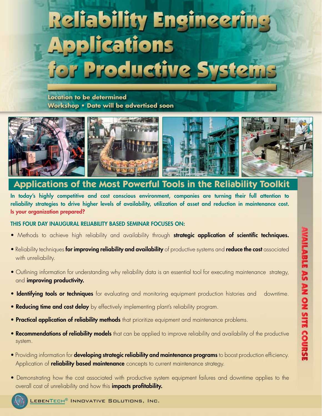# **Reliability Engineeri Applications** for Productive System

**Location to be determined Workshop • Date will be advertised soon**



# **Applications of the Most Powerful Tools in the Reliability Toolkit**

In today's highly competitive and cost conscious environment, companies are turning their full attention to reliability strategies to drive higher levels of availability, utilization of asset and reduction in maintenance cost. Is your organization prepared?

### This four day inaugural reliability based seminar focuses on:

- Methods to achieve high reliability and availability through strategic application of scientific techniques.
- Reliability techniques for improving reliability and availability of productive systems and reduce the cost associated with unreliability.
- Outlining information for understanding why reliability data is an essential tool for executing maintenance strategy, and **improving productivity.**
- Identifying tools or techniques for evaluating and monitoring equipment production histories and downtime.

**WAILABLE AS AN ON SITE COURSE** 

- Reducing time and cost delay by effectively implementing plant's reliability program.
- **Practical application of reliability methods** that prioritize equipment and maintenance problems.
- Recommendations of reliability models that can be applied to improve reliability and availability of the productive system.
- Providing information for **developing strategic reliability and maintenance programs** to boost production efficiency. Application of **reliability based maintenance** concepts to current maintenance strategy.
- Demonstrating how the cost associated with productive system equipment failures and downtime applies to the overall cost of unreliability and how this **impacts profitability.**

LEBENTECH® INNOVATIVE SOLUTIONS, INC.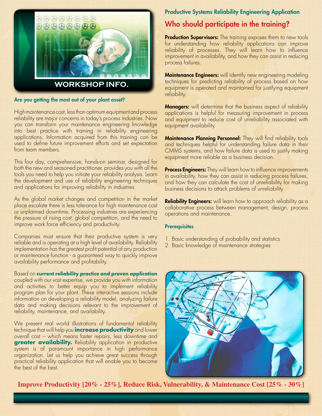

#### Are you getting the most out of your plant asset?

High maintenance cost, less than optimum equipment and process reliability are major concerns in today's process industries. Now you can transform your maintenance engineering knowledge into best practice with training in reliability engineering applications. Information acquired from this training can be used to define future improvement efforts and set expectation from team members.

This four day, comprehensive, hands-on seminar, designed for both the new and seasoned practitioner, provides you with all the tools you need to help you initiate your reliability analysis. Learn the development and use of reliability engineering techniques and applications for improving reliability in industries.

As the global market changes and competition in the market place escalate there is less tolerance for high maintenance cost or unplanned downtime. Processing industries are experiencing the pressure of rising cost, global competition, and the need to improve work force efficiency and productivity.

Companies must ensure that their productive system is very reliable and is operating at a high level of availability. Reliability implementation has the greatest profit potential of any production or maintenance function - a guaranteed way to quickly improve availability performance and profitability.

Based on **current reliability practice and proven application** coupled with our vast expertise, we provide you with information and activities to better equip you to implement reliability program plan for your plant. These interactive sessions include information on developing a reliability model, analyzing failure data and making decisions relevant to the improvement of reliability, maintenance, and availability.

We present real world illustrations of fundamental reliability technique that will help you **increase productivity** and lower overall cost – which means faster repairs, less downtime and **greater availability.** Reliability application in productive system is of paramount importance in high performance organization. Let us help you achieve great success through practical reliability application that will enable you to become the best of the best.

### Productive Systems Reliability Engineering Application

# Who should participate in the training?

**Production Supervisors:** The training exposes them to new tools for understanding how reliability applications can improve reliability of processes. They will learn how to influence improvement in availability, and how they can assist in reducing process failures.

**Maintenance Engineers:** will identify new engineering modeling techniques for predicting reliability of process based on how equipment is operated and maintained for justifying equipment reliability.

**Managers:** will determine that the business aspect of reliability applications is helpful for measuring improvement in process and equipment to reduce cost of unreliability associated with equipment availability.

**Maintenance Planning Personnel:** They will find reliability tools and techniques helpful for understanding failure data in their CMMS systems, and how failure data is used to justify making equipment more reliable as a business decision.

**Process Engineers:** They will learn how to influence improvements in availability, how they can assist in reducing process failures, and how they can calculate the cost of unreliability for making business decisions to attack problems of unreliability

**Reliability Engineers:** will learn how to approach reliability as a collaborative process between management, design, process operations and maintenance.

#### **Prerequisites**

- 1. Basic understanding of probability and statistics
- 2. Basic knowledge of maintenance strategies



**Improve Productivity [20% - 25%], Reduce Risk, Vulnerability, & Maintenance Cost [25% - 30%]**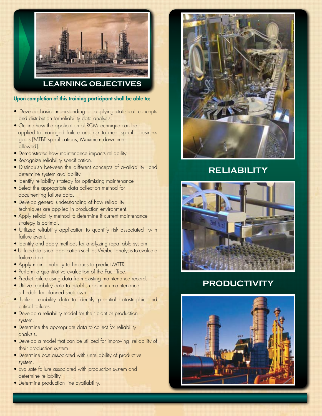

**learning Objectives**

Upon completion of this training participant shall be able to:

- Develop basic understanding of applying statistical concepts and distribution for reliability data analysis.
- Outline how the application of RCM technique can be applied to managed failure and risk to meet specific business goals [MTBF specifications, Maximum downtime allowed].
- Demonstrates how maintenance impacts reliability.
- Recognize reliability specification.
- Distinguish between the different concepts of availability and determine system availability.
- Identify reliability strategy for optimizing maintenance
- Select the appropriate data collection method for documenting failure data.
- Develop general understanding of how reliability techniques are applied in production environment.
- Apply reliability method to determine if current maintenance strategy is optimal.
- Utilized reliability application to quantify risk associated with failure event.
- Identify and apply methods for analyzing repairable system.
- Utilized statistical application such as Weibull analysis to evaluate failure data.
- Apply maintainability techniques to predict MTTR.
- Perform a quantitative evaluation of the Fault Tree.
- Predict failure using data from existing maintenance record.
- Utilize reliability data to establish optimum maintenance schedule for planned shutdown.
- Utilize reliability data to identify potential catastrophic and critical failures.
- Develop a reliability model for their plant or production system.
- Determine the appropriate data to collect for reliability analysis.
- Develop a model that can be utilized for improving reliability of their production system.
- Determine cost associated with unreliability of productive system.
- Evaluate failure associated with production system and determine reliability.
- Determine production line availability.



# **Reliability**



# **Productivity**

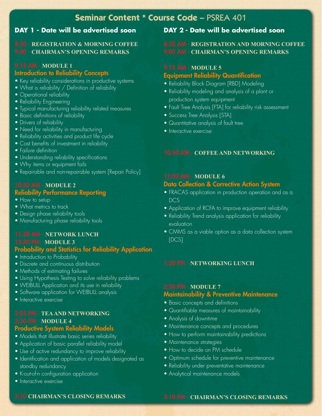# **Seminar Content \* Course Code –** PSREA 401

# **DAY 1 - Date will be advertised soon**

### 8:30 - **registration & Morning CoffeE** 9:00 - **Chairman's opening remarks**

### 9:15 am - **Module 1** Introduction to Reliability Concepts

- Key reliability considerations in productive systems
- What is reliability / Definition of reliability
- Operational reliability
- Reliability Engineering
- Typical manufacturing reliability related measures
- Basic definitions of reliability
- Drivers of reliability
- Need for reliability in manufacturing
- Reliability activities and product life cycle
- Cost benefits of investment in reliability
- Failure definition
- Understanding reliability specifications
- Why items or equipment fails
- Repairable and non-repairable system [Repair Policy]

### 10:50 am - **Module 2** Reliability Performance Reporting

- How to setup
- What metrics to track
- Design phase reliability tools
- Manufacturing phase reliability tools

# 11:30 am - **network lunch**

### 12:30 pm - **Module 3**  Probability and Statistics for Reliability Application

- Introduction to Probability
- Discrete and continuous distribution
- Methods of estimating failures
- Using Hypothesis Testing to solve reliability problems
- WEIBULL Application and its use in reliability
- Software application for WEIBULL analysis
- Interactive exercise

### 3:05 pm - **Tea and networking** 3:30 pm - **Module 4** Productive System Reliability Models

- Models that illustrate basic series reliability
- Application of basic parallel reliability model
- Use of active redundancy to improve reliability
- Identification and application of models designated as standby redundancy
- K-out-of-n configuration application
- Interactive exercise

# **DAY 2 - Date will be advertised soon**

### 8:30 am - **registration and morning coffee** 9:00 am - **Chairman's opening remarks**

### 9:15 am - **Module 5** Equipment Reliability Quantification

- Reliability Block Diagram [RBD] Modeling
- Reliability modeling and analysis of a plant or production system equipment
- Fault Tree Analysis [FTA] for reliability risk assessment
- Success Tree Analysis [STA]
- Quantitative analysis of fault tree
- Interactive exercise

#### 10:50 am - **Coffee and networking**

### 11:00 am - **Module 6**

### Data Collection & Corrective Action System

- FRACAS application in production operation and as a DC<sub>S</sub>
- Application of RCFA to improve equipment reliability
- Reliability Trend analysis application for reliability evaluation
- CMMS as a viable option as a data collection system [DCS]

### 1:30 pm - **networking lunch**

### 2:30 pm - **Module 7** Maintainability & Preventive Maintenance

- Basic concepts and definitions
- Quantifiable measures of maintainability
- Analysis of downtime
- Maintenance concepts and procedures
- How to perform maintainability predictions
- Maintenance strategies
- How to decide on PM schedule
- Optimum schedule for preventive maintenance
- Reliability under preventative maintenance
- Analytical maintenance models

### 5:10 **chairman's closing remarks**

#### 5:10 pm - **chairman's closing remarks**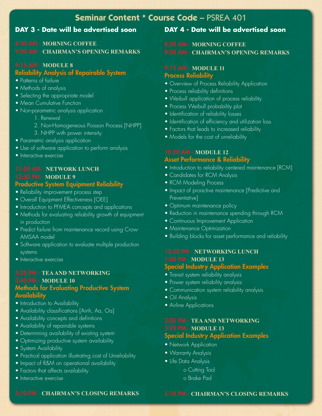# **Seminar Content \* Course Code –** PSREA 401

# **DAY 3 - Date will be advertised soon**

## 8:30 am - **morning coffee** 9:00 am - **Chairman's opening remarks**

## 9:15 am - **Module 8** Reliability Analysis of Repairable System

- Patterns of failure
- Methods of analysis
- Selecting the appropriate model
- Mean Cumulative Function
- Non-parametric analysis application
	- 1. Renewal
	- 2. Non-Homogeneous Poisson Process [NHPP]
	- 3. NHPP with power intensity
- Parametric analysis application
- Use of software application to perform analysis
- Interactive exercise

### 11:50 am - **network lunch** 12:50 pm - **Module 9** Productive System Equipment Reliability

# • Reliability improvement process step

- 
- Overall Equipment Effectiveness [OEE]
- Introduction to PFMEA concepts and applications
- Methods for evaluating reliability growth of equipment in production
- Predict failure from maintenance record using Crow- AMSAA model
- Software application to evaluate multiple production systems
- Interactive exercise

# 3:25 pm - **tea and networking** 3:40 pm - **Module 10** Methods for Evaluating Productive System

- **Availability**
- Introduction to Availability
- Availability classifications [Ainh, Aa, Oa]
- Availability concepts and definitions
- Availability of repairable systems
- Determining availability of existing system
- Optimizing productive system availability
- System Availability
- Practical application illustrating cost of Unreliability
- Impact of R&M on operational availability
- Factors that affects availability
- Interactive exercise

# **DAY 4 - Date will be advertised soon**

### 8:30 am - **morning coffee** 9:00 am - **Chairman's opening remarks**

### 9:15 am - **Module 11 Process Reliability**

- Overview of Process Reliability Application
- Process reliability definitions
- Weibull application of process reliability
- Process Weibull probability plot
- Identification of reliability losses
- Identification of efficiency and utilization loss
- Factors that leads to increased reliability
- Models for the cost of unreliability

### 10:20 Am - **Module 12** Asset Performance & Reliability

- Introduction to reliability centered maintenance [RCM]
- Candidates for RCM Analysis
- RCM Modeling Process
- Impact of proactive maintenance [Predictive and Preventative]
- Optimum maintenance policy
- Reduction in maintenance spending through RCM
- Continuous Improvement Application
- Maintenance Optimization
- Building blocks for asset performance and reliability

# 12:30 pm - **networking lunch** 1:30 pm - **Module 13**

# Special Industry Application Examples

- Transit system reliability analysis
- Power system reliability analysis
- Communication system reliability analysis
- Oil Analysis
- Airline Applications

### 3:05 pm - **tea and networking** 3:45 pm - **Module 13** Special Industry Application Examples

- Network Application
- Warranty Analysis
- Life Data Analysis
	- o Cutting Tool
	- o Brake Pad

### 5:10 pm - **chairman's closing remarks**

### 5:10 pm - **chairman's closing remarks**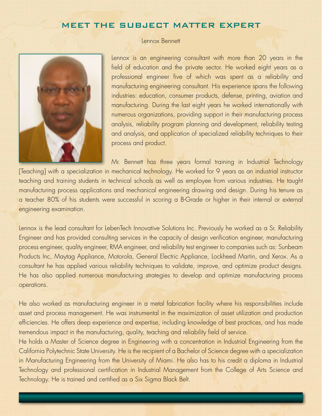# MEET THE SUBJECT MATTER EXPERT



### Lennox Bennett

Lennox is an engineering consultant with more than 20 years in the field of education and the private sector. He worked eight years as a professional engineer five of which was spent as a reliability and manufacturing engineering consultant. His experience spans the following industries: education, consumer products, defense, printing, aviation and manufacturing. During the last eight years he worked internationally with numerous organizations, providing support in their manufacturing process analysis, reliability program planning and development, reliability testing and analysis, and application of specialized reliability techniques to their process and product.

Mr. Bennett has three years formal training in Industrial Technology [Teaching] with a specialization in mechanical technology. He worked for 9 years as an industrial instructor teaching and training students in technical schools as well as employee from various industries. He taught manufacturing process applications and mechanical engineering drawing and design. During his tenure as a teacher 80% of his students were successful in scoring a B-Grade or higher in their internal or external engineering examination.

Lennox is the lead consultant for LebenTech Innovative Solutions Inc. Previously he worked as a Sr. Reliability Engineer and has provided consulting services in the capacity of design verification engineer, manufacturing process engineer, quality engineer, RMA engineer, and reliability test engineer to companies such as: Sunbeam Products Inc, Maytag Appliance, Motorola, General Electric Appliance, Lockheed Martin, and Xerox. As a consultant he has applied various reliability techniques to validate, improve, and optimize product designs. He has also applied numerous manufacturing strategies to develop and optimize manufacturing process operations.

He also worked as manufacturing engineer in a metal fabrication facility where his responsibilities include asset and process management. He was instrumental in the maximization of asset utilization and production efficiencies. He offers deep experience and expertise, including knowledge of best practices, and has made tremendous impact in the manufacturing, quality, teaching and reliability field of service.

He holds a Master of Science degree in Engineering with a concentration in Industrial Engineering from the California Polytechnic State University. He is the recipient of a Bachelor of Science degree with a specialization in Manufacturing Engineering from the University of Miami. He also has to his credit a diploma in Industrial Technology and professional certification in Industrial Management from the College of Arts Science and Technology. He is trained and certified as a Six Sigma Black Belt.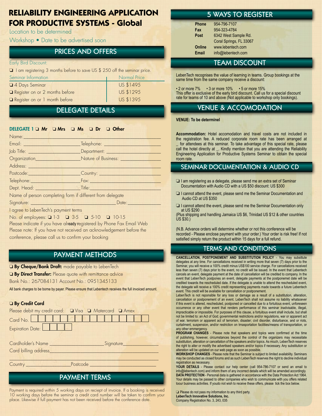# **RELIABILITY ENGINEERING APPLICATION FOR PRODUCTIVE SYSTEMS - Global**

Location to be determined

Workshop • Date to be advertised soon

# Prices and Offers

#### Early Bird Discount:

 $\Box$  I am registering 3 months before to save US \$ 250 off the seminar price.

| Seminar Information            | <b>Normal Price</b> |  |  |
|--------------------------------|---------------------|--|--|
| 4 Days Seminar                 | US \$1495           |  |  |
| Register on or 2 months before | US \$1295           |  |  |
| Register on or 1 month before  | US \$1395           |  |  |

# Delegate details

### DELEGATE 1  $\Box$  Mr  $\Box$  Mrs  $\Box$  Ms  $\Box$  Dr  $\Box$  Other

| Name:                                                                                                                                                                                                                                                                                              |                                                                                                      |  |
|----------------------------------------------------------------------------------------------------------------------------------------------------------------------------------------------------------------------------------------------------------------------------------------------------|------------------------------------------------------------------------------------------------------|--|
| Email: <u>__________________________</u>                                                                                                                                                                                                                                                           |                                                                                                      |  |
|                                                                                                                                                                                                                                                                                                    |                                                                                                      |  |
|                                                                                                                                                                                                                                                                                                    |                                                                                                      |  |
| Address: North Marian Maria Street (1987)                                                                                                                                                                                                                                                          |                                                                                                      |  |
|                                                                                                                                                                                                                                                                                                    | Postcode: Country: Country:                                                                          |  |
|                                                                                                                                                                                                                                                                                                    | Telephone: Fax: Fax: Elephone: Telephone: Telephone: Telephone: Telephone: Telephone: Telephone: Tel |  |
|                                                                                                                                                                                                                                                                                                    |                                                                                                      |  |
| Name of person completing form if different from delegate                                                                                                                                                                                                                                          |                                                                                                      |  |
| Signature: <u>University of the Signature:</u>                                                                                                                                                                                                                                                     | Date:                                                                                                |  |
| $\frac{1}{2}$ , and the set of $\frac{1}{2}$ , $\frac{1}{2}$ , $\frac{1}{2}$ , $\frac{1}{2}$ , $\frac{1}{2}$ , $\frac{1}{2}$ , $\frac{1}{2}$ , $\frac{1}{2}$ , $\frac{1}{2}$ , $\frac{1}{2}$ , $\frac{1}{2}$ , $\frac{1}{2}$ , $\frac{1}{2}$ , $\frac{1}{2}$ , $\frac{1}{2}$ , $\frac{1}{2}$ , $\$ |                                                                                                      |  |

I agree to LebenTech's payment terms

No. of employees: 0 1-3 0 3-5 0 5-10 0 10-15 Please indicate if you have already registered by Phone Fax Email Web Please note: If you have not received an acknowledgement before the conference, please call us to confirm your booking

# payment methods

**D By Cheque/Bank Draft:** made payable to LebenTech

**a** By Direct Transfer: Please quote with remittance advice

Bank No.: 267084131 Account No.: 0951345133

All bank charges to be borne by payer. Please ensure that Lebentech receives the full invoiced amount.

### **D** By Credit Card

| Please debit my credit card: $\Box$ Visa $\Box$ Matercard $\Box$ Amex |          |           |  |
|-----------------------------------------------------------------------|----------|-----------|--|
| Card No.                                                              |          |           |  |
| Expiration Date:                                                      |          |           |  |
|                                                                       |          |           |  |
| Cardholder's Name                                                     |          | Signature |  |
| Card billing address                                                  |          |           |  |
|                                                                       |          |           |  |
| Country                                                               | Postcode |           |  |
|                                                                       |          |           |  |

# payment terms

Payment is required within 5 working days on reciept of invoice. If a booking is received 10 working days before the seminar a credit card number will be taken to confirm your place. Likewise if full payment has not been received before the conference date.

# 5 WAYS TO REGISTER

| <b>Phone</b> | 954-796-7107            |
|--------------|-------------------------|
| Fax          | 954-323-4784            |
| Post         | 6342 West Sample Rd.    |
|              | Coral Springs, FL 33067 |
| Online       | www.lebentech.com       |
| <b>Email</b> | info@lebentech.com      |

# **TEAM DISCOUNT**

LebenTech recognises the value of learning in teams. Group bookings at the same time from the same company receive a discount:

• 2 or more 7% • 3 or more 10% • 5 or more 15% This offer is exclusive of the early bird discount. Call us for a special discount rate for teams of 10 and above (Not applicable to workshop only bookings).

# venue & Accomodation

#### **Venue: To be determinel**

**Accommodation:** Hotel accomodation and travel costs are not included in the registration fee. A reduced corporate room rate has been arranged at **\_** for attendees at this seminar. To take advantage of this special rate, please call the hotel directly at **\_**. Kindly mention that you are attending the Reliability Engineering Application for Productive Systems Seminar to obtain the special room rate.

## Seminar Documentation & Audio CD

- $\Box$  I am registering as a delegate, please send me an extra set of Seminar Documentation with Audio CD with a US \$50 discount: US \$300
- $\Box$  I cannot attend the event, please send me the Seminar Documentation and Audio CD at US \$350
- $\Box$  I cannot attend the event, please send me the Seminar Documentation only at US \$290

(Plus shipping and handling Jamaica US \$6, Trinidad US \$12 & other countries US \$30.)

(N.B. Advance orders will determine whether or not this conference will be recorded - Please enclose payment with your order.) Your order is risk free! If not satisfied simply return the product within 15 days for a full refund.

### Terms and conditionS

**Cancellation, Postponement and substitution policy** - You may subsittute delegates at any time. For cancellations received in writing more that seven (7) days prior to the Seminar, you will receive a 100% credit minus US\$100 service charge. For cancellations received less than seven (7) days prior to the event, no credit will be issued. In the event that Lebentech cancels an event, delegate payment at the date of cancellation will be credited to company. In the event that LebenTech postpones an event, delegate payments at the postponemet date will be credited towards the rescheduled date. If the delegate is unable to attend the rescheduled event, the delegate will receive a 100% credit representing payments made towards a future Lebentech event. This credit will be available for cancellation or postponement.

LebenTech is not reponsible for any loss or damage as a result of a substitution, alteration, cancellation or postponement of an event. LebenTech shall not assume no liability whatsoever if this event is altered, rescheduled, postponed or cancelled due to a fortuitous event, unforeseen occurrence or any other event that renders performance of this seminar inadvisable, illegal, impracticable or impossible. For purposes of this clause, a fortuitous event shall include, but shall not be limited to: an Act of God; governmental restrictions and/or regulations, war or apparent act of war, terrorism or apparent act of terrorism, disaster; civil disorder, disturbance, and or riots, curtailment, suspension, and/or restriction on trnasportation facilities/means of transportation, or any other emmergency.

**PROGRAM CHANGES** - Please note that speakers and topics were confirmed at the time of publishing, however, circumstances beyond the control of the organizers may necessitate substitution, alteration or cancellation of the speakers and/or topics. As miuch, LebenTech reserves the right to alter or modify the advertised speakers and/or topics if necessary. Any substitution or alteration will be updated on our web page as soon as possible. **Workshop changes** - Please note that the Seminar is subject to limited availability. Seminars

may be conducted as closed forums and as such LebenTech reserves the right to decline individual registration as necessary.

YOUR DETAILS - Please contact our help center (call 954-786-7107 or send an email to info@lebentech.com) and inform them of any incorrect details which will be amended accordingly. **DATA PROTECTION** - Personal data is gathered in accordance with the Data Protection Act 1964. Your details may be passed to other companies who wish to communicate with you offers related toour business activities. If youdo not wish to receive these offers, please tick the box below.

 $\Box$  Please do not pass my information to any third party. **LebenTech Innovative Solutions, Inc.** Company Registration No. 3, 243, 035